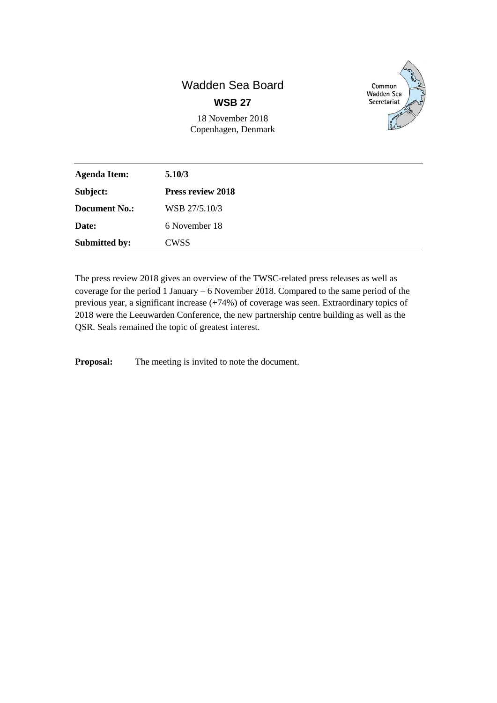# Wadden Sea Board **WSB 27**

18 November 2018 Copenhagen, Denmark



| <b>Agenda Item:</b>  | 5.10/3                   |  |
|----------------------|--------------------------|--|
| Subject:             | <b>Press review 2018</b> |  |
| <b>Document No.:</b> | WSB 27/5.10/3            |  |
| Date:                | 6 November 18            |  |
| <b>Submitted by:</b> | CWSS                     |  |

The press review 2018 gives an overview of the TWSC-related press releases as well as coverage for the period 1 January – 6 November 2018. Compared to the same period of the previous year, a significant increase (+74%) of coverage was seen. Extraordinary topics of 2018 were the Leeuwarden Conference, the new partnership centre building as well as the QSR. Seals remained the topic of greatest interest.

**Proposal:** The meeting is invited to note the document.